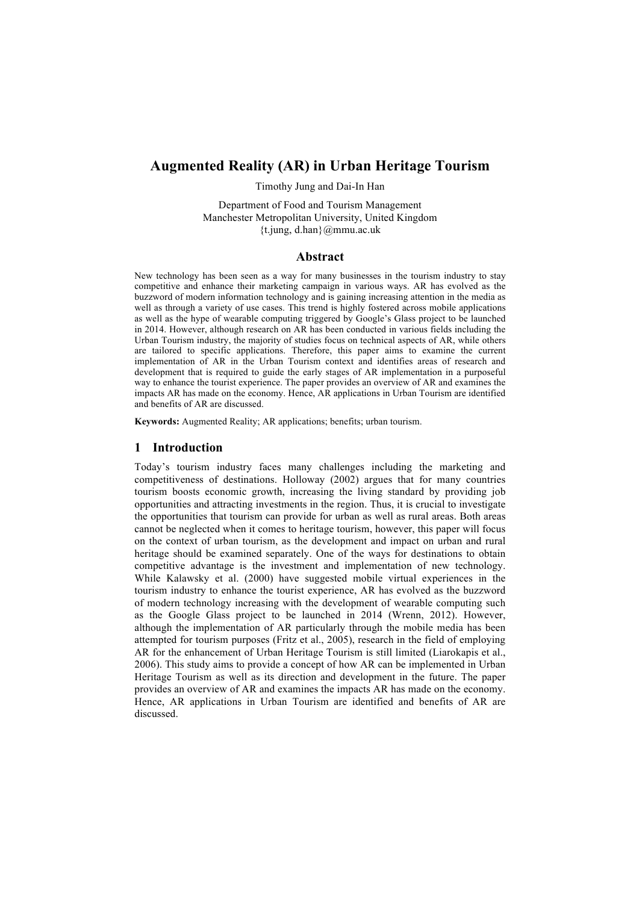# **Augmented Reality (AR) in Urban Heritage Tourism**

Timothy Jung and Dai-In Han

Department of Food and Tourism Management Manchester Metropolitan University, United Kingdom {t.jung, d.han}@mmu.ac.uk

## **Abstract**

New technology has been seen as a way for many businesses in the tourism industry to stay competitive and enhance their marketing campaign in various ways. AR has evolved as the buzzword of modern information technology and is gaining increasing attention in the media as well as through a variety of use cases. This trend is highly fostered across mobile applications as well as the hype of wearable computing triggered by Google's Glass project to be launched in 2014. However, although research on AR has been conducted in various fields including the Urban Tourism industry, the majority of studies focus on technical aspects of AR, while others are tailored to specific applications. Therefore, this paper aims to examine the current implementation of AR in the Urban Tourism context and identifies areas of research and development that is required to guide the early stages of AR implementation in a purposeful way to enhance the tourist experience. The paper provides an overview of AR and examines the impacts AR has made on the economy. Hence, AR applications in Urban Tourism are identified and benefits of AR are discussed.

**Keywords:** Augmented Reality; AR applications; benefits; urban tourism.

## **1 Introduction**

Today's tourism industry faces many challenges including the marketing and competitiveness of destinations. Holloway (2002) argues that for many countries tourism boosts economic growth, increasing the living standard by providing job opportunities and attracting investments in the region. Thus, it is crucial to investigate the opportunities that tourism can provide for urban as well as rural areas. Both areas cannot be neglected when it comes to heritage tourism, however, this paper will focus on the context of urban tourism, as the development and impact on urban and rural heritage should be examined separately. One of the ways for destinations to obtain competitive advantage is the investment and implementation of new technology. While Kalawsky et al. (2000) have suggested mobile virtual experiences in the tourism industry to enhance the tourist experience, AR has evolved as the buzzword of modern technology increasing with the development of wearable computing such as the Google Glass project to be launched in 2014 (Wrenn, 2012). However, although the implementation of AR particularly through the mobile media has been attempted for tourism purposes (Fritz et al., 2005), research in the field of employing AR for the enhancement of Urban Heritage Tourism is still limited (Liarokapis et al., 2006). This study aims to provide a concept of how AR can be implemented in Urban Heritage Tourism as well as its direction and development in the future. The paper provides an overview of AR and examines the impacts AR has made on the economy. Hence, AR applications in Urban Tourism are identified and benefits of AR are discussed.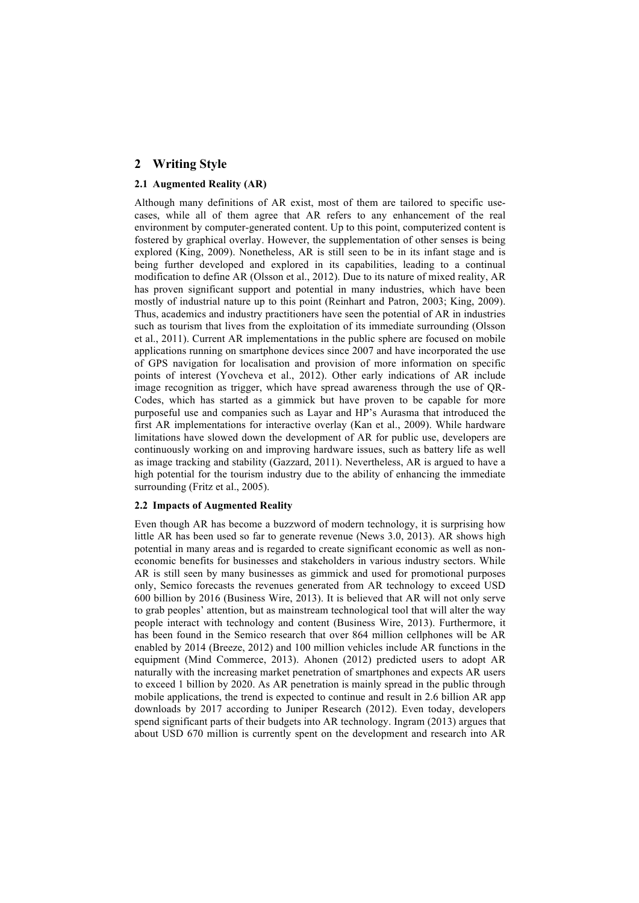# **2 Writing Style**

## **2.1 Augmented Reality (AR)**

Although many definitions of AR exist, most of them are tailored to specific usecases, while all of them agree that AR refers to any enhancement of the real environment by computer-generated content. Up to this point, computerized content is fostered by graphical overlay. However, the supplementation of other senses is being explored (King, 2009). Nonetheless, AR is still seen to be in its infant stage and is being further developed and explored in its capabilities, leading to a continual modification to define AR (Olsson et al., 2012). Due to its nature of mixed reality, AR has proven significant support and potential in many industries, which have been mostly of industrial nature up to this point (Reinhart and Patron, 2003; King, 2009). Thus, academics and industry practitioners have seen the potential of AR in industries such as tourism that lives from the exploitation of its immediate surrounding (Olsson et al., 2011). Current AR implementations in the public sphere are focused on mobile applications running on smartphone devices since 2007 and have incorporated the use of GPS navigation for localisation and provision of more information on specific points of interest (Yovcheva et al., 2012). Other early indications of AR include image recognition as trigger, which have spread awareness through the use of QR-Codes, which has started as a gimmick but have proven to be capable for more purposeful use and companies such as Layar and HP's Aurasma that introduced the first AR implementations for interactive overlay (Kan et al., 2009). While hardware limitations have slowed down the development of AR for public use, developers are continuously working on and improving hardware issues, such as battery life as well as image tracking and stability (Gazzard, 2011). Nevertheless, AR is argued to have a high potential for the tourism industry due to the ability of enhancing the immediate surrounding (Fritz et al., 2005).

### **2.2 Impacts of Augmented Reality**

Even though AR has become a buzzword of modern technology, it is surprising how little AR has been used so far to generate revenue (News 3.0, 2013). AR shows high potential in many areas and is regarded to create significant economic as well as noneconomic benefits for businesses and stakeholders in various industry sectors. While AR is still seen by many businesses as gimmick and used for promotional purposes only, Semico forecasts the revenues generated from AR technology to exceed USD 600 billion by 2016 (Business Wire, 2013). It is believed that AR will not only serve to grab peoples' attention, but as mainstream technological tool that will alter the way people interact with technology and content (Business Wire, 2013). Furthermore, it has been found in the Semico research that over 864 million cellphones will be AR enabled by 2014 (Breeze, 2012) and 100 million vehicles include AR functions in the equipment (Mind Commerce, 2013). Ahonen (2012) predicted users to adopt AR naturally with the increasing market penetration of smartphones and expects AR users to exceed 1 billion by 2020. As AR penetration is mainly spread in the public through mobile applications, the trend is expected to continue and result in 2.6 billion AR app downloads by 2017 according to Juniper Research (2012). Even today, developers spend significant parts of their budgets into AR technology. Ingram (2013) argues that about USD 670 million is currently spent on the development and research into AR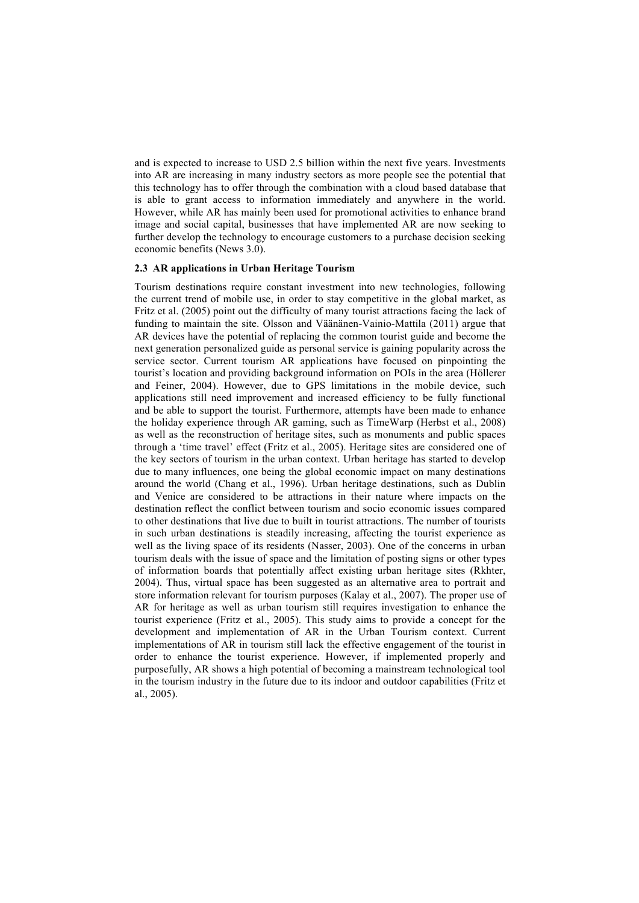and is expected to increase to USD 2.5 billion within the next five years. Investments into AR are increasing in many industry sectors as more people see the potential that this technology has to offer through the combination with a cloud based database that is able to grant access to information immediately and anywhere in the world. However, while AR has mainly been used for promotional activities to enhance brand image and social capital, businesses that have implemented AR are now seeking to further develop the technology to encourage customers to a purchase decision seeking economic benefits (News 3.0).

## **2.3 AR applications in Urban Heritage Tourism**

Tourism destinations require constant investment into new technologies, following the current trend of mobile use, in order to stay competitive in the global market, as Fritz et al. (2005) point out the difficulty of many tourist attractions facing the lack of funding to maintain the site. Olsson and Väänänen-Vainio-Mattila (2011) argue that AR devices have the potential of replacing the common tourist guide and become the next generation personalized guide as personal service is gaining popularity across the service sector. Current tourism AR applications have focused on pinpointing the tourist's location and providing background information on POIs in the area (Höllerer and Feiner, 2004). However, due to GPS limitations in the mobile device, such applications still need improvement and increased efficiency to be fully functional and be able to support the tourist. Furthermore, attempts have been made to enhance the holiday experience through AR gaming, such as TimeWarp (Herbst et al., 2008) as well as the reconstruction of heritage sites, such as monuments and public spaces through a 'time travel' effect (Fritz et al., 2005). Heritage sites are considered one of the key sectors of tourism in the urban context. Urban heritage has started to develop due to many influences, one being the global economic impact on many destinations around the world (Chang et al., 1996). Urban heritage destinations, such as Dublin and Venice are considered to be attractions in their nature where impacts on the destination reflect the conflict between tourism and socio economic issues compared to other destinations that live due to built in tourist attractions. The number of tourists in such urban destinations is steadily increasing, affecting the tourist experience as well as the living space of its residents (Nasser, 2003). One of the concerns in urban tourism deals with the issue of space and the limitation of posting signs or other types of information boards that potentially affect existing urban heritage sites (Rkhter, 2004). Thus, virtual space has been suggested as an alternative area to portrait and store information relevant for tourism purposes (Kalay et al., 2007). The proper use of AR for heritage as well as urban tourism still requires investigation to enhance the tourist experience (Fritz et al., 2005). This study aims to provide a concept for the development and implementation of AR in the Urban Tourism context. Current implementations of AR in tourism still lack the effective engagement of the tourist in order to enhance the tourist experience. However, if implemented properly and purposefully, AR shows a high potential of becoming a mainstream technological tool in the tourism industry in the future due to its indoor and outdoor capabilities (Fritz et al., 2005).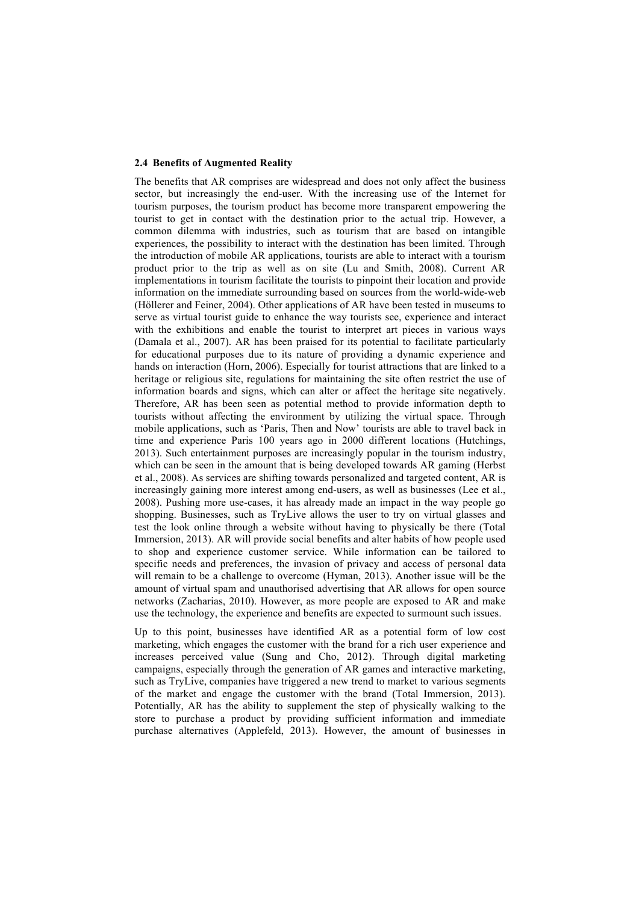#### **2.4 Benefits of Augmented Reality**

The benefits that AR comprises are widespread and does not only affect the business sector, but increasingly the end-user. With the increasing use of the Internet for tourism purposes, the tourism product has become more transparent empowering the tourist to get in contact with the destination prior to the actual trip. However, a common dilemma with industries, such as tourism that are based on intangible experiences, the possibility to interact with the destination has been limited. Through the introduction of mobile AR applications, tourists are able to interact with a tourism product prior to the trip as well as on site (Lu and Smith, 2008). Current AR implementations in tourism facilitate the tourists to pinpoint their location and provide information on the immediate surrounding based on sources from the world-wide-web (Höllerer and Feiner, 2004). Other applications of AR have been tested in museums to serve as virtual tourist guide to enhance the way tourists see, experience and interact with the exhibitions and enable the tourist to interpret art pieces in various ways (Damala et al., 2007). AR has been praised for its potential to facilitate particularly for educational purposes due to its nature of providing a dynamic experience and hands on interaction (Horn, 2006). Especially for tourist attractions that are linked to a heritage or religious site, regulations for maintaining the site often restrict the use of information boards and signs, which can alter or affect the heritage site negatively. Therefore, AR has been seen as potential method to provide information depth to tourists without affecting the environment by utilizing the virtual space. Through mobile applications, such as 'Paris, Then and Now' tourists are able to travel back in time and experience Paris 100 years ago in 2000 different locations (Hutchings, 2013). Such entertainment purposes are increasingly popular in the tourism industry, which can be seen in the amount that is being developed towards AR gaming (Herbst et al., 2008). As services are shifting towards personalized and targeted content, AR is increasingly gaining more interest among end-users, as well as businesses (Lee et al., 2008). Pushing more use-cases, it has already made an impact in the way people go shopping. Businesses, such as TryLive allows the user to try on virtual glasses and test the look online through a website without having to physically be there (Total Immersion, 2013). AR will provide social benefits and alter habits of how people used to shop and experience customer service. While information can be tailored to specific needs and preferences, the invasion of privacy and access of personal data will remain to be a challenge to overcome (Hyman, 2013). Another issue will be the amount of virtual spam and unauthorised advertising that AR allows for open source networks (Zacharias, 2010). However, as more people are exposed to AR and make use the technology, the experience and benefits are expected to surmount such issues.

Up to this point, businesses have identified AR as a potential form of low cost marketing, which engages the customer with the brand for a rich user experience and increases perceived value (Sung and Cho, 2012). Through digital marketing campaigns, especially through the generation of AR games and interactive marketing, such as TryLive, companies have triggered a new trend to market to various segments of the market and engage the customer with the brand (Total Immersion, 2013). Potentially, AR has the ability to supplement the step of physically walking to the store to purchase a product by providing sufficient information and immediate purchase alternatives (Applefeld, 2013). However, the amount of businesses in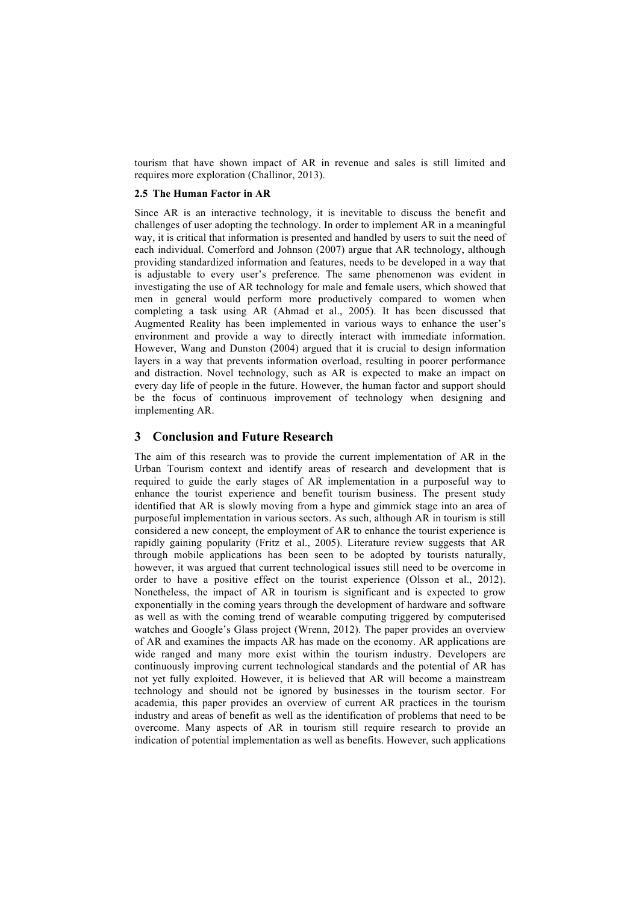tourism that have shown impact of AR in revenue and sales is still limited and requires more exploration (Challinor, 2013).

## **2.5 The Human Factor in AR**

Since AR is an interactive technology, it is inevitable to discuss the benefit and challenges of user adopting the technology. In order to implement AR in a meaningful way, it is critical that information is presented and handled by users to suit the need of each individual. Comerford and Johnson (2007) argue that AR technology, although providing standardized information and features, needs to be developed in a way that is adjustable to every user's preference. The same phenomenon was evident in investigating the use of AR technology for male and female users, which showed that men in general would perform more productively compared to women when completing a task using AR (Ahmad et al., 2005). It has been discussed that Augmented Reality has been implemented in various ways to enhance the user's environment and provide a way to directly interact with immediate information. However, Wang and Dunston (2004) argued that it is crucial to design information layers in a way that prevents information overload, resulting in poorer performance and distraction. Novel technology, such as AR is expected to make an impact on every day life of people in the future. However, the human factor and support should be the focus of continuous improvement of technology when designing and implementing AR.

# **3 Conclusion and Future Research**

The aim of this research was to provide the current implementation of AR in the Urban Tourism context and identify areas of research and development that is required to guide the early stages of AR implementation in a purposeful way to enhance the tourist experience and benefit tourism business. The present study identified that AR is slowly moving from a hype and gimmick stage into an area of purposeful implementation in various sectors. As such, although AR in tourism is still considered a new concept, the employment of AR to enhance the tourist experience is rapidly gaining popularity (Fritz et al., 2005). Literature review suggests that AR through mobile applications has been seen to be adopted by tourists naturally, however, it was argued that current technological issues still need to be overcome in order to have a positive effect on the tourist experience (Olsson et al., 2012). Nonetheless, the impact of AR in tourism is significant and is expected to grow exponentially in the coming years through the development of hardware and software as well as with the coming trend of wearable computing triggered by computerised watches and Google's Glass project (Wrenn, 2012). The paper provides an overview of AR and examines the impacts AR has made on the economy. AR applications are wide ranged and many more exist within the tourism industry. Developers are continuously improving current technological standards and the potential of AR has not yet fully exploited. However, it is believed that AR will become a mainstream technology and should not be ignored by businesses in the tourism sector. For academia, this paper provides an overview of current AR practices in the tourism industry and areas of benefit as well as the identification of problems that need to be overcome. Many aspects of AR in tourism still require research to provide an indication of potential implementation as well as benefits. However, such applications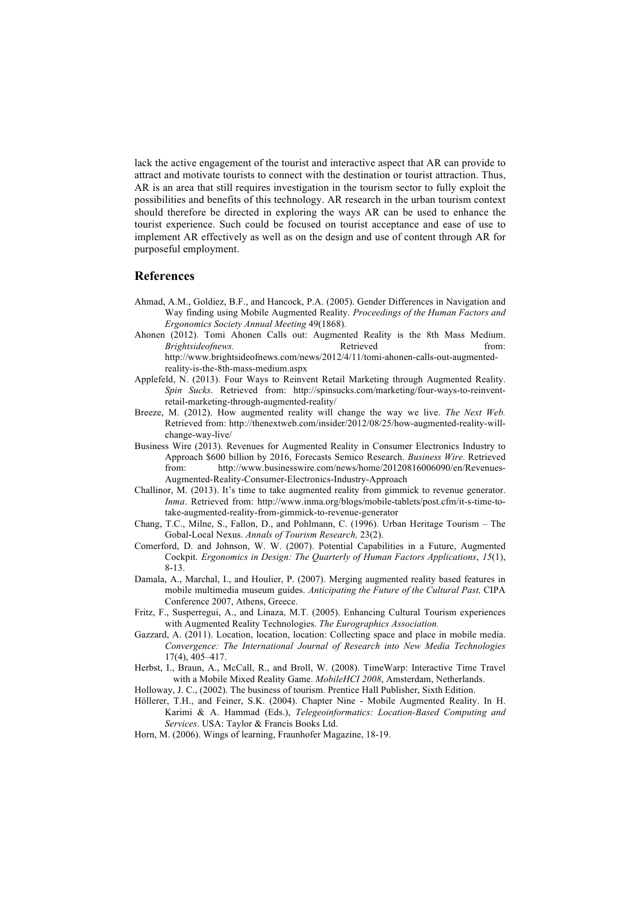lack the active engagement of the tourist and interactive aspect that AR can provide to attract and motivate tourists to connect with the destination or tourist attraction. Thus, AR is an area that still requires investigation in the tourism sector to fully exploit the possibilities and benefits of this technology. AR research in the urban tourism context should therefore be directed in exploring the ways AR can be used to enhance the tourist experience. Such could be focused on tourist acceptance and ease of use to implement AR effectively as well as on the design and use of content through AR for purposeful employment.

## **References**

- Ahmad, A.M., Goldiez, B.F., and Hancock, P.A. (2005). Gender Differences in Navigation and Way finding using Mobile Augmented Reality. *Proceedings of the Human Factors and Ergonomics Society Annual Meeting* 49(1868).
- Ahonen (2012). Tomi Ahonen Calls out: Augmented Reality is the 8th Mass Medium. *Brightsideofnews.* **Retrieved heating** *from:* http://www.brightsideofnews.com/news/2012/4/11/tomi-ahonen-calls-out-augmentedreality-is-the-8th-mass-medium.aspx
- Applefeld, N. (2013). Four Ways to Reinvent Retail Marketing through Augmented Reality. *Spin Sucks*. Retrieved from: http://spinsucks.com/marketing/four-ways-to-reinventretail-marketing-through-augmented-reality/
- Breeze, M. (2012). How augmented reality will change the way we live. *The Next Web.* Retrieved from: http://thenextweb.com/insider/2012/08/25/how-augmented-reality-willchange-way-live/
- Business Wire (2013). Revenues for Augmented Reality in Consumer Electronics Industry to Approach \$600 billion by 2016, Forecasts Semico Research. *Business Wire.* Retrieved from: http://www.businesswire.com/news/home/20120816006090/en/Revenues-Augmented-Reality-Consumer-Electronics-Industry-Approach
- Challinor, M. (2013). It's time to take augmented reality from gimmick to revenue generator. *Inma*. Retrieved from: http://www.inma.org/blogs/mobile-tablets/post.cfm/it-s-time-totake-augmented-reality-from-gimmick-to-revenue-generator
- Chang, T.C., Milne, S., Fallon, D., and Pohlmann, C. (1996). Urban Heritage Tourism The Gobal-Local Nexus. *Annals of Tourism Research,* 23(2).
- Comerford, D. and Johnson, W. W. (2007). Potential Capabilities in a Future, Augmented Cockpit. *Ergonomics in Design: The Quarterly of Human Factors Applications*, *15*(1), 8-13.
- Damala, A., Marchal, I., and Houlier, P. (2007). Merging augmented reality based features in mobile multimedia museum guides. *Anticipating the Future of the Cultural Past,* CIPA Conference 2007, Athens, Greece.
- Fritz, F., Susperregui, A., and Linaza, M.T. (2005). Enhancing Cultural Tourism experiences with Augmented Reality Technologies. *The Eurographics Association.*
- Gazzard, A. (2011). Location, location, location: Collecting space and place in mobile media. *Convergence: The International Journal of Research into New Media Technologies*  17(4), 405–417.
- Herbst, I., Braun, A., McCall, R., and Broll, W. (2008). TimeWarp: Interactive Time Travel with a Mobile Mixed Reality Game. *MobileHCI 2008*, Amsterdam, Netherlands.
- Holloway, J. C., (2002). The business of tourism. Prentice Hall Publisher, Sixth Edition.
- Höllerer, T.H., and Feiner, S.K. (2004). Chapter Nine Mobile Augmented Reality. In H. Karimi & A. Hammad (Eds.), *Telegeoinformatics: Location-Based Computing and Services*. USA: Taylor & Francis Books Ltd.
- Horn, M. (2006). Wings of learning, Fraunhofer Magazine, 18-19.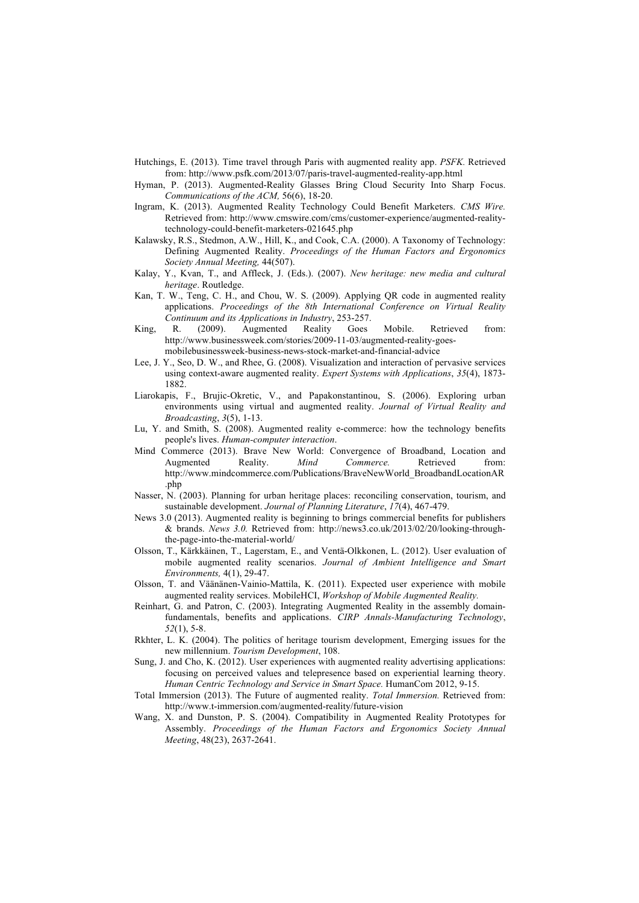- Hutchings, E. (2013). Time travel through Paris with augmented reality app. *PSFK.* Retrieved from: http://www.psfk.com/2013/07/paris-travel-augmented-reality-app.html
- Hyman, P. (2013). Augmented-Reality Glasses Bring Cloud Security Into Sharp Focus. *Communications of the ACM,* 56(6), 18-20.
- Ingram, K. (2013). Augmented Reality Technology Could Benefit Marketers. *CMS Wire.*  Retrieved from: http://www.cmswire.com/cms/customer-experience/augmented-realitytechnology-could-benefit-marketers-021645.php
- Kalawsky, R.S., Stedmon, A.W., Hill, K., and Cook, C.A. (2000). A Taxonomy of Technology: Defining Augmented Reality. *Proceedings of the Human Factors and Ergonomics Society Annual Meeting,* 44(507).
- Kalay, Y., Kvan, T., and Affleck, J. (Eds.). (2007). *New heritage: new media and cultural heritage*. Routledge.
- Kan, T. W., Teng, C. H., and Chou, W. S. (2009). Applying QR code in augmented reality applications. *Proceedings of the 8th International Conference on Virtual Reality Continuum and its Applications in Industry*, 253-257.
- King, R. (2009). Augmented Reality Goes Mobile. Retrieved from: http://www.businessweek.com/stories/2009-11-03/augmented-reality-goesmobilebusinessweek-business-news-stock-market-and-financial-advice
- Lee, J. Y., Seo, D. W., and Rhee, G. (2008). Visualization and interaction of pervasive services using context-aware augmented reality. *Expert Systems with Applications*, *35*(4), 1873- 1882.
- Liarokapis, F., Brujic-Okretic, V., and Papakonstantinou, S. (2006). Exploring urban environments using virtual and augmented reality. *Journal of Virtual Reality and Broadcasting*, *3*(5), 1-13.
- Lu, Y. and Smith, S. (2008). Augmented reality e-commerce: how the technology benefits people's lives. *Human-computer interaction*.
- Mind Commerce (2013). Brave New World: Convergence of Broadband, Location and Augmented Reality. *Mind Commerce*. Retrieved from: http://www.mindcommerce.com/Publications/BraveNewWorld\_BroadbandLocationAR .php
- Nasser, N. (2003). Planning for urban heritage places: reconciling conservation, tourism, and sustainable development. *Journal of Planning Literature*, *17*(4), 467-479.
- News 3.0 (2013). Augmented reality is beginning to brings commercial benefits for publishers & brands. *News 3.0.* Retrieved from: http://news3.co.uk/2013/02/20/looking-throughthe-page-into-the-material-world/
- Olsson, T., Kärkkäinen, T., Lagerstam, E., and Ventä-Olkkonen, L. (2012). User evaluation of mobile augmented reality scenarios. *Journal of Ambient Intelligence and Smart Environments,* 4(1), 29-47.
- Olsson, T. and Väänänen-Vainio-Mattila, K. (2011). Expected user experience with mobile augmented reality services. MobileHCI, *Workshop of Mobile Augmented Reality.*
- Reinhart, G. and Patron, C. (2003). Integrating Augmented Reality in the assembly domainfundamentals, benefits and applications. *CIRP Annals-Manufacturing Technology*, *52*(1), 5-8.
- Rkhter, L. K. (2004). The politics of heritage tourism development, Emerging issues for the new millennium. *Tourism Development*, 108.
- Sung, J. and Cho, K. (2012). User experiences with augmented reality advertising applications: focusing on perceived values and telepresence based on experiential learning theory. *Human Centric Technology and Service in Smart Space.* HumanCom 2012, 9-15.
- Total Immersion (2013). The Future of augmented reality. *Total Immersion.* Retrieved from: http://www.t-immersion.com/augmented-reality/future-vision
- Wang, X. and Dunston, P. S. (2004). Compatibility in Augmented Reality Prototypes for Assembly. *Proceedings of the Human Factors and Ergonomics Society Annual Meeting*, 48(23), 2637-2641.